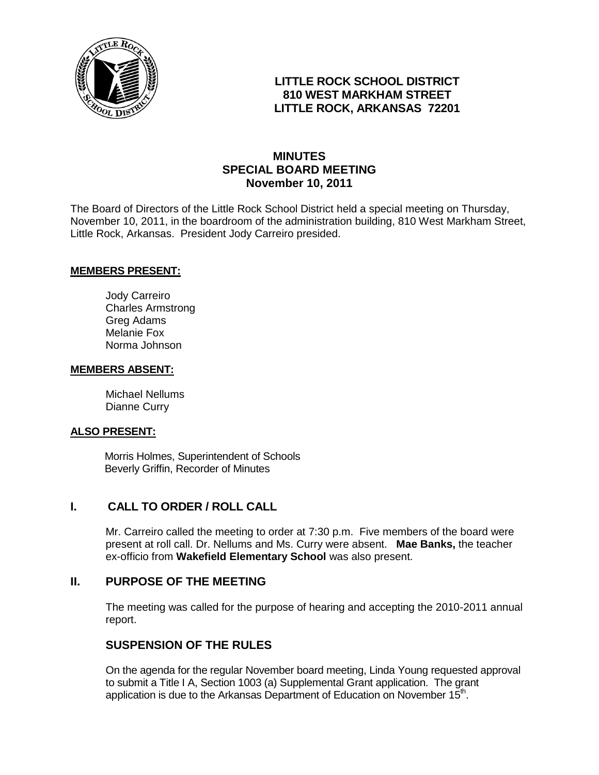

# **LITTLE ROCK SCHOOL DISTRICT 810 WEST MARKHAM STREET LITTLE ROCK, ARKANSAS 72201**

# **MINUTES SPECIAL BOARD MEETING November 10, 2011**

The Board of Directors of the Little Rock School District held a special meeting on Thursday, November 10, 2011, in the boardroom of the administration building, 810 West Markham Street, Little Rock, Arkansas. President Jody Carreiro presided.

#### **MEMBERS PRESENT:**

Jody Carreiro Charles Armstrong Greg Adams Melanie Fox Norma Johnson

#### **MEMBERS ABSENT:**

Michael Nellums Dianne Curry

#### **ALSO PRESENT:**

 Morris Holmes, Superintendent of Schools Beverly Griffin, Recorder of Minutes

## **I. CALL TO ORDER / ROLL CALL**

Mr. Carreiro called the meeting to order at 7:30 p.m. Five members of the board were present at roll call. Dr. Nellums and Ms. Curry were absent. **Mae Banks,** the teacher ex-officio from **Wakefield Elementary School** was also present.

## **II. PURPOSE OF THE MEETING**

The meeting was called for the purpose of hearing and accepting the 2010-2011 annual report.

### **SUSPENSION OF THE RULES**

On the agenda for the regular November board meeting, Linda Young requested approval to submit a Title I A, Section 1003 (a) Supplemental Grant application. The grant application is due to the Arkansas Department of Education on November 15<sup>th</sup>.